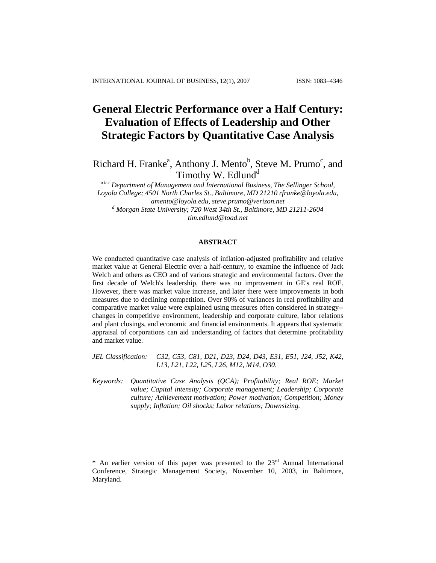# **General Electric Performance over a Half Century: Evaluation of Effects of Leadership and Other Strategic Factors by Quantitative Case Analysis**

Richard H. Franke<sup>a</sup>, Anthony J. Mento<sup>b</sup>, Steve M. Prumo<sup>c</sup>, and Timothy W. Edlund<sup>d</sup>

*a b c Department of Management and International Business, The Sellinger School, Loyola College; 4501 North Charles St., Baltimore, MD 21210 [rfranke@loyola.edu,](mailto:rfranke@loyola.edu) [amento@loyola.edu,](mailto:amento@loyola.edu) [steve.prumo@verizon.net](mailto:steve.prumo@verizon.net) d Morgan State University; 720 West 34th St., Baltimore, MD 21211-2604 [tim.edlund@toad.net](mailto:tim.edlund@toad.net)*

# **ABSTRACT**

We conducted quantitative case analysis of inflation-adjusted profitability and relative market value at General Electric over a half-century, to examine the influence of Jack Welch and others as CEO and of various strategic and environmental factors. Over the first decade of Welch's leadership, there was no improvement in GE's real ROE. However, there was market value increase, and later there were improvements in both measures due to declining competition. Over 90% of variances in real profitability and comparative market value were explained using measures often considered in strategy- changes in competitive environment, leadership and corporate culture, labor relations and plant closings, and economic and financial environments. It appears that systematic appraisal of corporations can aid understanding of factors that determine profitability and market value.

*JEL Classification: C32, C53, C81, D21, D23, D24, D43, E31, E51, J24, J52, K42, L13, L21, L22, L25, L26, M12, M14, O30*.

*Keywords: Quantitative Case Analysis (QCA); Profitability; Real ROE; Market value; Capital intensity; Corporate management; Leadership; Corporate culture; Achievement motivation; Power motivation; Competition; Money supply; Inflation; Oil shocks; Labor relations; Downsizing.* 

\* An earlier version of this paper was presented to the  $23<sup>rd</sup>$  Annual International Conference, Strategic Management Society, November 10, 2003, in Baltimore, Maryland.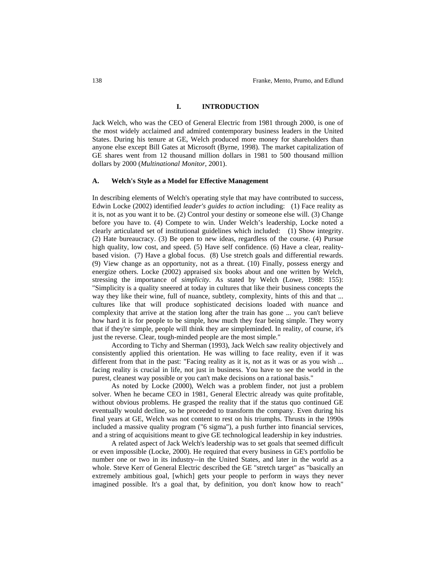## **I. INTRODUCTION**

Jack Welch, who was the CEO of General Electric from 1981 through 2000, is one of the most widely acclaimed and admired contemporary business leaders in the United States. During his tenure at GE, Welch produced more money for shareholders than anyone else except Bill Gates at Microsoft (Byrne, 1998). The market capitalization of GE shares went from 12 thousand million dollars in 1981 to 500 thousand million dollars by 2000 (*Multinational Monitor*, 2001).

#### **A. Welch's Style as a Model for Effective Management**

In describing elements of Welch's operating style that may have contributed to success, Edwin Locke (2002) identified *leader's guides to action* including: (1) Face reality as it is, not as you want it to be. (2) Control your destiny or someone else will. (3) Change before you have to. (4) Compete to win. Under Welch's leadership, Locke noted a clearly articulated set of institutional guidelines which included: (1) Show integrity. (2) Hate bureaucracy. (3) Be open to new ideas, regardless of the course. (4) Pursue high quality, low cost, and speed. (5) Have self confidence. (6) Have a clear, realitybased vision. (7) Have a global focus. (8) Use stretch goals and differential rewards. (9) View change as an opportunity, not as a threat. (10) Finally, possess energy and energize others. Locke (2002) appraised six books about and one written by Welch, stressing the importance of *simplicity*. As stated by Welch (Lowe, 1988: 155): "Simplicity is a quality sneered at today in cultures that like their business concepts the way they like their wine, full of nuance, subtlety, complexity, hints of this and that ... cultures like that will produce sophisticated decisions loaded with nuance and complexity that arrive at the station long after the train has gone ... you can't believe how hard it is for people to be simple, how much they fear being simple. They worry that if they're simple, people will think they are simpleminded. In reality, of course, it's just the reverse. Clear, tough-minded people are the most simple."

According to Tichy and Sherman (1993), Jack Welch saw reality objectively and consistently applied this orientation. He was willing to face reality, even if it was different from that in the past: "Facing reality as it is, not as it was or as you wish ... facing reality is crucial in life, not just in business. You have to see the world in the purest, cleanest way possible or you can't make decisions on a rational basis."

As noted by Locke (2000), Welch was a problem finder, not just a problem solver. When he became CEO in 1981, General Electric already was quite profitable, without obvious problems. He grasped the reality that if the status quo continued GE eventually would decline, so he proceeded to transform the company. Even during his final years at GE, Welch was not content to rest on his triumphs. Thrusts in the 1990s included a massive quality program ("6 sigma"), a push further into financial services, and a string of acquisitions meant to give GE technological leadership in key industries.

A related aspect of Jack Welch's leadership was to set goals that seemed difficult or even impossible (Locke, 2000). He required that every business in GE's portfolio be number one or two in its industry--in the United States, and later in the world as a whole. Steve Kerr of General Electric described the GE "stretch target" as "basically an extremely ambitious goal, [which] gets your people to perform in ways they never imagined possible. It's a goal that, by definition, you don't know how to reach"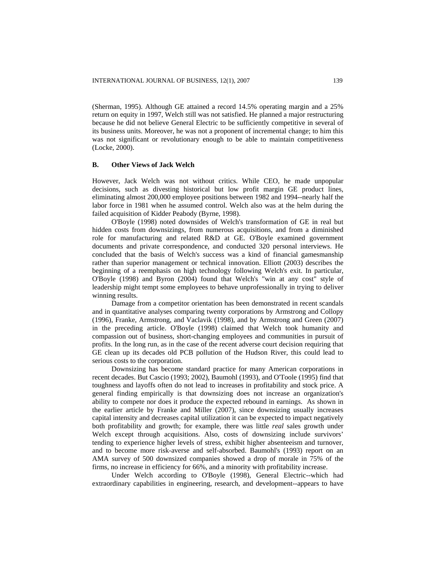(Sherman, 1995). Although GE attained a record 14.5% operating margin and a 25% return on equity in 1997, Welch still was not satisfied. He planned a major restructuring because he did not believe General Electric to be sufficiently competitive in several of its business units. Moreover, he was not a proponent of incremental change; to him this was not significant or revolutionary enough to be able to maintain competitiveness (Locke, 2000).

# **B. Other Views of Jack Welch**

However, Jack Welch was not without critics. While CEO, he made unpopular decisions, such as divesting historical but low profit margin GE product lines, eliminating almost 200,000 employee positions between 1982 and 1994--nearly half the labor force in 1981 when he assumed control. Welch also was at the helm during the failed acquisition of Kidder Peabody (Byrne, 1998).

O'Boyle (1998) noted downsides of Welch's transformation of GE in real but hidden costs from downsizings, from numerous acquisitions, and from a diminished role for manufacturing and related R&D at GE. O'Boyle examined government documents and private correspondence, and conducted 320 personal interviews. He concluded that the basis of Welch's success was a kind of financial gamesmanship rather than superior management or technical innovation. Elliott (2003) describes the beginning of a reemphasis on high technology following Welch's exit. In particular, O'Boyle (1998) and Byron (2004) found that Welch's "win at any cost" style of leadership might tempt some employees to behave unprofessionally in trying to deliver winning results.

Damage from a competitor orientation has been demonstrated in recent scandals and in quantitative analyses comparing twenty corporations by Armstrong and Collopy (1996), Franke, Armstrong, and Vaclavik (1998), and by Armstrong and Green (2007) in the preceding article. O'Boyle (1998) claimed that Welch took humanity and compassion out of business, short-changing employees and communities in pursuit of profits. In the long run, as in the case of the recent adverse court decision requiring that GE clean up its decades old PCB pollution of the Hudson River, this could lead to serious costs to the corporation.

Downsizing has become standard practice for many American corporations in recent decades. But Cascio (1993; 2002), Baumohl (1993), and O'Toole (1995) find that toughness and layoffs often do not lead to increases in profitability and stock price. A general finding empirically is that downsizing does not increase an organization's ability to compete nor does it produce the expected rebound in earnings. As shown in the earlier article by Franke and Miller (2007), since downsizing usually increases capital intensity and decreases capital utilization it can be expected to impact negatively both profitability and growth; for example, there was little *real* sales growth under Welch except through acquisitions. Also, costs of downsizing include survivors' tending to experience higher levels of stress, exhibit higher absenteeism and turnover, and to become more risk-averse and self-absorbed. Baumohl's (1993) report on an AMA survey of 500 downsized companies showed a drop of morale in 75% of the firms, no increase in efficiency for 66%, and a minority with profitability increase.

Under Welch according to O'Boyle (1998), General Electric--which had extraordinary capabilities in engineering, research, and development--appears to have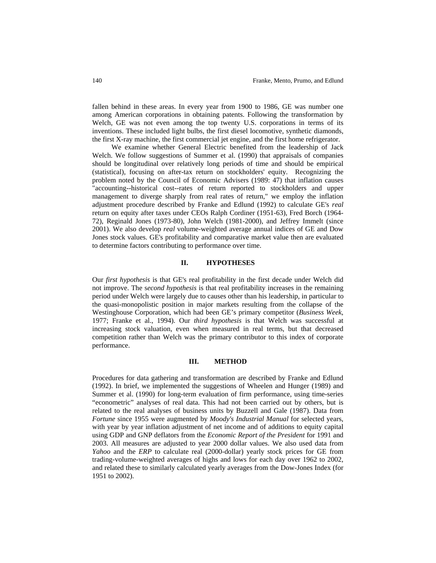fallen behind in these areas. In every year from 1900 to 1986, GE was number one among American corporations in obtaining patents. Following the transformation by Welch, GE was not even among the top twenty U.S. corporations in terms of its inventions. These included light bulbs, the first diesel locomotive, synthetic diamonds, the first X-ray machine, the first commercial jet engine, and the first home refrigerator.

We examine whether General Electric benefited from the leadership of Jack Welch. We follow suggestions of Summer et al. (1990) that appraisals of companies should be longitudinal over relatively long periods of time and should be empirical (statistical), focusing on after-tax return on stockholders' equity. Recognizing the problem noted by the Council of Economic Advisers (1989: 47) that inflation causes "accounting--historical cost--rates of return reported to stockholders and upper management to diverge sharply from real rates of return," we employ the inflation adjustment procedure described by Franke and Edlund (1992) to calculate GE's *real*  return on equity after taxes under CEOs Ralph Cordiner (1951-63), Fred Borch (1964- 72), Reginald Jones (1973-80), John Welch (1981-2000), and Jeffrey Immelt (since 2001). We also develop *real* volume-weighted average annual indices of GE and Dow Jones stock values. GE's profitability and comparative market value then are evaluated to determine factors contributing to performance over time.

#### **II. HYPOTHESES**

Our *first hypothesis* is that GE's real profitability in the first decade under Welch did not improve. The s*econd hypothesis* is that real profitability increases in the remaining period under Welch were largely due to causes other than his leadership, in particular to the quasi-monopolistic position in major markets resulting from the collapse of the Westinghouse Corporation, which had been GE's primary competitor (*Business Week*, 1977; Franke et al., 1994). Our *third hypothesis* is that Welch was successful at increasing stock valuation, even when measured in real terms, but that decreased competition rather than Welch was the primary contributor to this index of corporate performance.

#### **III. METHOD**

Procedures for data gathering and transformation are described by Franke and Edlund (1992). In brief, we implemented the suggestions of Wheelen and Hunger (1989) and Summer et al. (1990) for long-term evaluation of firm performance, using time-series "econometric" analyses of real data. This had not been carried out by others, but is related to the real analyses of business units by Buzzell and Gale (1987). Data from *Fortune* since 1955 were augmented by *Moody's Industrial Manual* for selected years, with year by year inflation adjustment of net income and of additions to equity capital using GDP and GNP deflators from the *Economic Report of the President* for 1991 and 2003. All measures are adjusted to year 2000 dollar values. We also used data from *Yahoo* and the *ERP* to calculate real (2000-dollar) yearly stock prices for GE from trading-volume-weighted averages of highs and lows for each day over 1962 to 2002, and related these to similarly calculated yearly averages from the Dow-Jones Index (for 1951 to 2002).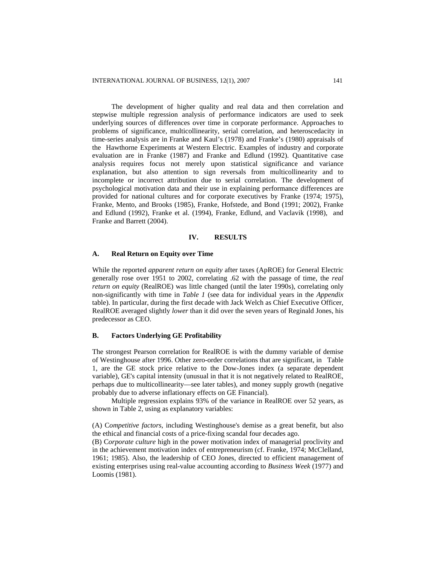The development of higher quality and real data and then correlation and stepwise multiple regression analysis of performance indicators are used to seek underlying sources of differences over time in corporate performance. Approaches to problems of significance, multicollinearity, serial correlation, and heteroscedacity in time-series analysis are in Franke and Kaul's (1978) and Franke's (1980) appraisals of the Hawthorne Experiments at Western Electric. Examples of industry and corporate evaluation are in Franke (1987) and Franke and Edlund (1992). Quantitative case analysis requires focus not merely upon statistical significance and variance explanation, but also attention to sign reversals from multicollinearity and to incomplete or incorrect attribution due to serial correlation. The development of psychological motivation data and their use in explaining performance differences are provided for national cultures and for corporate executives by Franke (1974; 1975), Franke, Mento, and Brooks (1985), Franke, Hofstede, and Bond (1991; 2002), Franke and Edlund (1992), Franke et al. (1994), Franke, Edlund, and Vaclavik (1998), and Franke and Barrett (2004).

#### **IV. RESULTS**

#### **A. Real Return on Equity over Time**

While the reported *apparent return on equity* after taxes (ApROE) for General Electric generally rose over 1951 to 2002, correlating .62 with the passage of time, the *real return on equity* (RealROE) was little changed (until the later 1990s), correlating only non-significantly with time in *Table 1* (see data for individual years in the *Appendix*  table). In particular, during the first decade with Jack Welch as Chief Executive Officer, RealROE averaged slightly *lower* than it did over the seven years of Reginald Jones, his predecessor as CEO.

#### **B. Factors Underlying GE Profitability**

The strongest Pearson correlation for RealROE is with the dummy variable of demise of Westinghouse after 1996. Other zero-order correlations that are significant, in Table 1, are the GE stock price relative to the Dow-Jones index (a separate dependent variable), GE's capital intensity (unusual in that it is not negatively related to RealROE, perhaps due to multicollinearity—see later tables), and money supply growth (negative probably due to adverse inflationary effects on GE Financial).

Multiple regression explains 93% of the variance in RealROE over 52 years, as shown in Table 2, using as explanatory variables:

(A) C*ompetitive factors*, including Westinghouse's demise as a great benefit, but also the ethical and financial costs of a price-fixing scandal four decades ago.

(B) C*orporate culture* high in the power motivation index of managerial proclivity and in the achievement motivation index of entrepreneurism (cf. Franke, 1974; McClelland, 1961; 1985). Also, the leadership of CEO Jones, directed to efficient management of existing enterprises using real-value accounting according to *Business Week* (1977) and Loomis (1981).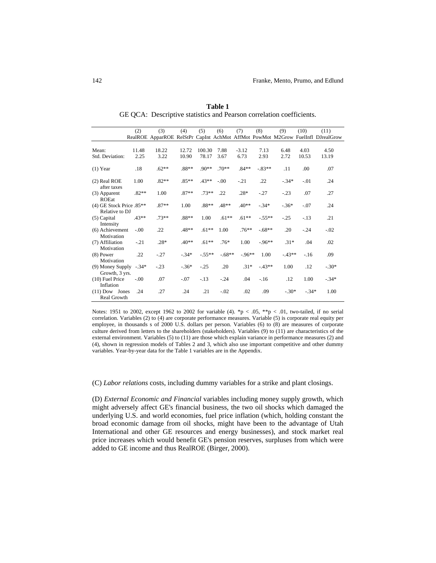|                                            | (2)           | (3)           | (4)            | (5)             | (6)          | (7)             | (8)          | (9)          | (10)             | (11)<br>RealROE ApparROE RelStPr CapInt AchMot AffMot PowMot M2Grow FuelInfl DJrealGrow |
|--------------------------------------------|---------------|---------------|----------------|-----------------|--------------|-----------------|--------------|--------------|------------------|-----------------------------------------------------------------------------------------|
|                                            |               |               |                |                 |              |                 |              |              |                  |                                                                                         |
| Mean:<br>Std. Deviation:                   | 11.48<br>2.25 | 18.22<br>3.22 | 12.72<br>10.90 | 100.30<br>78.17 | 7.88<br>3.67 | $-3.12$<br>6.73 | 7.13<br>2.93 | 6.48<br>2.72 | 4.03<br>10.53    | 4.50<br>13.19                                                                           |
| $(1)$ Year                                 | .18           | $.62**$       | $.88**$        | $.90**$         | $.70**$      | $.84**$         | $-83**$      | .11          | .00 <sub>1</sub> | .07                                                                                     |
| (2) Real ROE<br>after taxes                | 1.00          | $.82**$       | $.85**$        | $.43**$         | $-.00$       | $-.21$          | .22          | $-.34*$      | $-.01$           | .24                                                                                     |
| (3) Apparent<br><b>ROEat</b>               | $.82**$       | 1.00          | $.87**$        | $.73**$         | .22          | $.28*$          | $-.27$       | $-.23$       | .07              | .27                                                                                     |
| (4) GE Stock Price .85**<br>Relative to DJ |               | $.87**$       | 1.00           | .88**           | $.48**$      | $.40**$         | $-.34*$      | $-.36*$      | $-.07$           | .24                                                                                     |
| $(5)$ Capital<br>Intensity                 | $.43**$       | $.73**$       | $.88**$        | 1.00            | $.61**$      | $.61**$         | $-.55**$     | $-.25$       | $-.13$           | .21                                                                                     |
| (6) Achievement<br>Motivation              | $-.00$        | .22           | .48**          | $.61**$         | 1.00         | $.76***$        | $-68**$      | .20          | $-.24$           | $-.02$                                                                                  |
| (7) Affiliation<br>Motivation              | $-.21$        | $.28*$        | $.40**$        | $.61**$         | $.76*$       | 1.00            | $-0.96**$    | $.31*$       | .04              | .02                                                                                     |
| $(8)$ Power<br>Motivation                  | .22           | $-.27$        | $-.34*$        | $-.55**$        | $-.68**$     | $-0.96**$       | 1.00         | $-43**$      | $-16$            | .09                                                                                     |
| (9) Money Supply<br>Growth, 3 yrs.         | $-.34*$       | $-.23$        | $-.36*$        | $-.25$          | .20          | $.31*$          | $-43**$      | 1.00         | .12              | $-.30*$                                                                                 |
| $(10)$ Fuel Price<br>Inflation             | $-.00$        | .07           | $-.07$         | $-.13$          | $-.24$       | .04             | $-16$        | .12          | 1.00             | $-.34*$                                                                                 |
| $(11)$ Dow Jones<br>Real Growth            | .24           | .27           | .24            | .21             | $-.02$       | .02             | .09          | $-.30*$      | $-.34*$          | 1.00                                                                                    |

**Table 1** GE QCA: Descriptive statistics and Pearson correlation coefficients.

Notes: 1951 to 2002, except 1962 to 2002 for variable (4). \*p < .05, \*\*p < .01, two-tailed, if no serial correlation. Variables (2) to (4) are corporate performance measures. Variable (5) is corporate real equity per employee, in thousands s of 2000 U.S. dollars per person. Variables (6) to (8) are measures of corporate culture derived from letters to the shareholders (stakeholders). Variables (9) to (11) are characteristics of the external environment. Variables (5) to (11) are those which explain variance in performance measures (2) and (4), shown in regression models of Tables 2 and 3, which also use important competitive and other dummy variables. Year-by-year data for the Table 1 variables are in the Appendix.

(C) *Labor relations* costs, including dummy variables for a strike and plant closings.

(D) *External Economic and Financial* variables including money supply growth, which might adversely affect GE's financial business, the two oil shocks which damaged the underlying U.S. and world economies, fuel price inflation (which, holding constant the broad economic damage from oil shocks, might have been to the advantage of Utah International and other GE resources and energy businesses), and stock market real price increases which would benefit GE's pension reserves, surpluses from which were added to GE income and thus RealROE (Birger, 2000).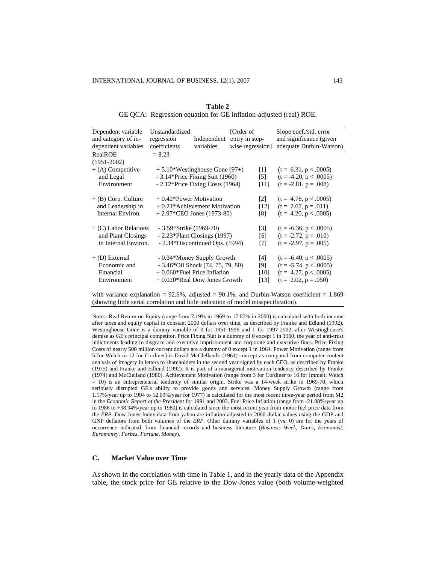| Dependent variable    | Unstandardized            |                                     | [Order of          | Slope coef./std. error   |  |
|-----------------------|---------------------------|-------------------------------------|--------------------|--------------------------|--|
| and category of in-   | regression                | Independent                         | entry in step-     | and significance (given  |  |
| dependent variables   | coefficients              | variables                           | wise regression]   | adequate Durbin-Watson)  |  |
| RealROE               | $= 8.23$                  |                                     |                    |                          |  |
| $(1951 - 2002)$       |                           |                                     |                    |                          |  |
| $+$ (A) Competitive   |                           | $+ 5.10*$ Westinghouse Gone (97+)   | $\lceil 1 \rceil$  | $(t = 6.31, p < .0005)$  |  |
| and Legal             |                           | $-3.14*$ Price Fixing Suit (1960)   | $\left[5\right]$   | $(t = -4.20, p < .0005)$ |  |
| Environment           |                           | $-2.12*$ Price Fixing Costs (1964)  | [11]               | $(t = -2.81, p = .008)$  |  |
|                       |                           |                                     |                    |                          |  |
| + (B) Corp. Culture   | $+0.42*$ Power Motivation |                                     | $\lceil 2 \rceil$  | $(t = 4.78, p < .0005)$  |  |
| and Leadership in     |                           | $+0.21*$ Achievement Motivation     | $\lceil 12 \rceil$ | $(t = 2.67, p = .011)$   |  |
| Internal Environ.     |                           | $+2.97$ *CEO Jones (1973-80)        | [8]                | $(t = 4.20, p < .0005)$  |  |
|                       |                           |                                     |                    |                          |  |
| + (C) Labor Relations | $-3.59*Strike (1969-70)$  |                                     | $\lceil 3 \rceil$  | $(t = -6.36, p < .0005)$ |  |
| and Plant Closings    |                           | $-2.23*Plant Closings (1997)$       | [6]                | $(t = -2.72, p = .010)$  |  |
| in Internal Environ.  |                           | - 2.34*Discontinued Ops. (1994)     | $[7]$              | $(t = -2.97, p = .005)$  |  |
|                       |                           |                                     |                    |                          |  |
| + (D) External        |                           | - 0.34*Money Supply Growth          | [4]                | $(t = -6.40, p < .0005)$ |  |
| Economic and          |                           | $-3.46*$ Oil Shock (74, 75, 79, 80) | [9]                | $(t = -5.74, p < .0005)$ |  |
| Financial             |                           | $+0.060*$ Fuel Price Inflation      | $[10]$             | $(t = 4.27, p < .0005)$  |  |
| Environment           |                           | $+0.020*$ Real Dow Jones Growth     | [13]               | $(t = 2.02, p = .050)$   |  |

**Table 2**  GE QCA: Regression equation for GE inflation-adjusted (real) ROE.

with variance explanation =  $92.6\%$ , adjusted =  $90.1\%$ , and Durbin-Watson coefficient = 1.869 (showing little serial correlation and little indication of model misspecification).

Notes: Real Return on Equity (range from 7.19% in 1969 to 17.07% in 2000) is calculated with both income after taxes and equity capital in constant 2000 dollars over time, as described by Franke and Edlund (1992). Westinghouse Gone is a dummy variable of 0 for 1951-1996 and 1 for 1997-2002, after Westinghouse's demise as GE's principal competitor. Price Fixing Suit is a dummy of 0 except 1 in 1960, the year of anti-trust indictments leading to disgrace and executive imprisonment and corporate and executive fines. Price Fixing Costs of nearly 500 million current dollars are a dummy of 0 except 1 in 1964. Power Motivation (range from 5 for Welch to 12 for Cordiner) is David McClelland's (1961) concept as computed from computer content analysis of imagery in letters to shareholders in the second year signed by each CEO, as described by Franke (1975) and Franke and Edlund (1992). It is part of a managerial motivation tendency described by Franke (1974) and McClelland (1980). Achievement Motivation (range from 3 for Cordiner to 16 for Immelt; Welch = 10) is an entrepreneurial tendency of similar origin. Strike was a 14-week strike in 1969-70, which seriously disrupted GE's ability to provide goods and services. Money Supply Growth (range from 1.17%/year up to 1994 to 12.09%/year for 1977) is calculated for the most recent three-year period from M2 in the *Economic Report of the President* for 1991 and 2003. Fuel Price Inflation (range from -21.88%/year up to 1986 to +38.94%/year up to 1980) is calculated since the most recent year from motor fuel price data from the *ERP*. Dow Jones Index data from yahoo are inflation-adjusted to 2000 dollar values using the GDP and GNP deflators from both volumes of the *ERP*. Other dummy variables of 1 (vs. 0) are for the years of occurrence indicated, from financial records and business literature (*Business Week*, *Dun's*, *Economist*, *Euromoney*, *Forbes*, *Fortune*, *Money*).

# **C. Market Value over Time**

As shown in the correlation with time in Table 1, and in the yearly data of the Appendix table, the stock price for GE relative to the Dow-Jones value (both volume-weighted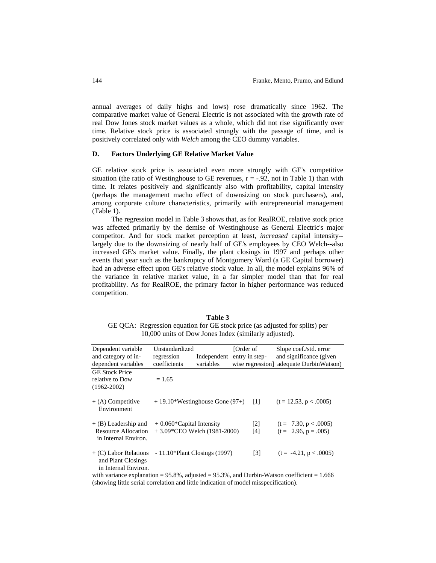annual averages of daily highs and lows) rose dramatically since 1962. The comparative market value of General Electric is not associated with the growth rate of real Dow Jones stock market values as a whole, which did not rise significantly over time. Relative stock price is associated strongly with the passage of time, and is positively correlated only with *Welch* among the CEO dummy variables.

#### **D. Factors Underlying GE Relative Market Value**

GE relative stock price is associated even more strongly with GE's competitive situation (the ratio of Westinghouse to GE revenues,  $r = -.92$ , not in Table 1) than with time. It relates positively and significantly also with profitability, capital intensity (perhaps the management macho effect of downsizing on stock purchasers), and, among corporate culture characteristics, primarily with entrepreneurial management (Table 1).

The regression model in Table 3 shows that, as for RealROE, relative stock price was affected primarily by the demise of Westinghouse as General Electric's major competitor. And for stock market perception at least, *increased* capital intensity- largely due to the downsizing of nearly half of GE's employees by CEO Welch--also increased GE's market value. Finally, the plant closings in 1997 and perhaps other events that year such as the bankruptcy of Montgomery Ward (a GE Capital borrower) had an adverse effect upon GE's relative stock value. In all, the model explains 96% of the variance in relative market value, in a far simpler model than that for real profitability. As for RealROE, the primary factor in higher performance was reduced competition.

| Table 3 |                                                                             |  |  |  |  |  |  |
|---------|-----------------------------------------------------------------------------|--|--|--|--|--|--|
|         | GE QCA: Regression equation for GE stock price (as adjusted for splits) per |  |  |  |  |  |  |
|         | 10,000 units of Dow Jones Index (similarly adjusted).                       |  |  |  |  |  |  |

| Dependent variable<br>and category of in-                                                          | Unstandardized<br>regression     | Independent | [Order of]<br>entry in step- |                   | Slope coef./std. error<br>and significance (given |  |  |  |
|----------------------------------------------------------------------------------------------------|----------------------------------|-------------|------------------------------|-------------------|---------------------------------------------------|--|--|--|
| dependent variables                                                                                | coefficients                     | variables   |                              | wise regression   | adequate DurbinWatson)                            |  |  |  |
| <b>GE Stock Price</b>                                                                              |                                  |             |                              |                   |                                                   |  |  |  |
| relative to Dow<br>$(1962 - 2002)$                                                                 | $= 1.65$                         |             |                              |                   |                                                   |  |  |  |
| $+$ (A) Competitive<br>Environment                                                                 | $+19.10*Westinghouse$ Gone (97+) |             |                              | $\lceil 1 \rceil$ | $(t = 12.53, p < .0005)$                          |  |  |  |
| $+(B)$ Leadership and                                                                              | $+0.060$ *Capital Intensity      |             |                              | $\lceil 2 \rceil$ | $(t = 7.30, p < .0005)$                           |  |  |  |
| Resource Allocation<br>in Internal Environ.                                                        | $+3.09$ *CEO Welch (1981-2000)   |             |                              | [4]               | $(t = 2.96, p = .005)$                            |  |  |  |
| + (C) Labor Relations<br>and Plant Closings<br>in Internal Environ.                                | $-11.10*$ Plant Closings (1997)  |             |                              | $\lceil 3 \rceil$ | $(t = -4.21, p < .0005)$                          |  |  |  |
| with variance explanation = $95.8\%$ , adjusted = $95.3\%$ , and Durbin-Watson coefficient = 1.666 |                                  |             |                              |                   |                                                   |  |  |  |
| (showing little serial correlation and little indication of model misspecification).               |                                  |             |                              |                   |                                                   |  |  |  |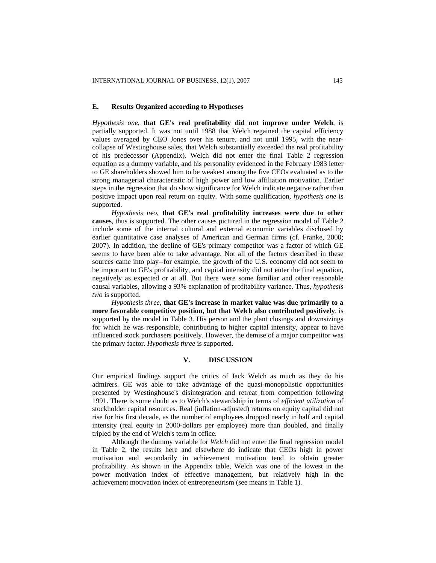#### **E. Results Organized according to Hypotheses**

*Hypothesis one*, **that GE's real profitability did not improve under Welch**, is partially supported. It was not until 1988 that Welch regained the capital efficiency values averaged by CEO Jones over his tenure, and not until 1995, with the nearcollapse of Westinghouse sales, that Welch substantially exceeded the real profitability of his predecessor (Appendix). Welch did not enter the final Table 2 regression equation as a dummy variable, and his personality evidenced in the February 1983 letter to GE shareholders showed him to be weakest among the five CEOs evaluated as to the strong managerial characteristic of high power and low affiliation motivation. Earlier steps in the regression that do show significance for Welch indicate negative rather than positive impact upon real return on equity. With some qualification, *hypothesis one* is supported.

*Hypothesis two*, **that GE's real profitability increases were due to other causes**, thus is supported. The other causes pictured in the regression model of Table 2 include some of the internal cultural and external economic variables disclosed by earlier quantitative case analyses of American and German firms (cf. Franke, 2000; 2007). In addition, the decline of GE's primary competitor was a factor of which GE seems to have been able to take advantage. Not all of the factors described in these sources came into play--for example, the growth of the U.S. economy did not seem to be important to GE's profitability, and capital intensity did not enter the final equation, negatively as expected or at all. But there were some familiar and other reasonable causal variables, allowing a 93% explanation of profitability variance. Thus, *hypothesis two* is supported.

*Hypothesis three*, **that GE's increase in market value was due primarily to a more favorable competitive position, but that Welch also contributed positively**, is supported by the model in Table 3. His person and the plant closings and downsizings for which he was responsible, contributing to higher capital intensity, appear to have influenced stock purchasers positively. However, the demise of a major competitor was the primary factor. *Hypothesis three* is supported.

# **V. DISCUSSION**

Our empirical findings support the critics of Jack Welch as much as they do his admirers. GE was able to take advantage of the quasi-monopolistic opportunities presented by Westinghouse's disintegration and retreat from competition following 1991. There is some doubt as to Welch's stewardship in terms of *efficient utilization* of stockholder capital resources. Real (inflation-adjusted) returns on equity capital did not rise for his first decade, as the number of employees dropped nearly in half and capital intensity (real equity in 2000-dollars per employee) more than doubled, and finally tripled by the end of Welch's term in office.

Although the dummy variable for *Welch* did not enter the final regression model in Table 2, the results here and elsewhere do indicate that CEOs high in power motivation and secondarily in achievement motivation tend to obtain greater profitability. As shown in the Appendix table, Welch was one of the lowest in the power motivation index of effective management, but relatively high in the achievement motivation index of entrepreneurism (see means in Table 1).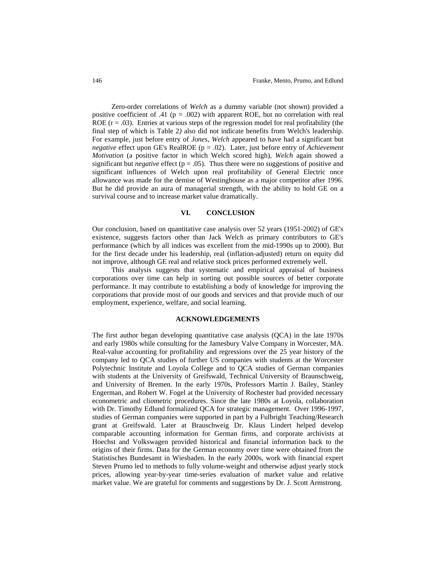Zero-order correlations of *Welch* as a dummy variable (not shown) provided a positive coefficient of .41 ( $p = .002$ ) with apparent ROE, but no correlation with real ROE  $(r = .03)$ . Entries at various steps of the regression model for real profitability (the final step of which is Table 2*)* also did not indicate benefits from Welch's leadership. For example, just before entry of *Jones*, *Welch* appeared to have had a significant but *negative* effect upon GE's RealROE (p = .02). Later, just before entry of *Achievement Motivation* (a positive factor in which Welch scored high), *Welch* again showed a significant but *negative* effect ( $p = .05$ ). Thus there were no suggestions of positive and significant influences of Welch upon real profitability of General Electric once allowance was made for the demise of Westinghouse as a major competitor after 1996. But he did provide an aura of managerial strength, with the ability to hold GE on a survival course and to increase market value dramatically.

## **VI. CONCLUSION**

Our conclusion, based on quantitative case analysis over 52 years (1951-2002) of GE's existence, suggests factors other than Jack Welch as primary contributors to GE's performance (which by all indices was excellent from the mid-1990s up to 2000). But for the first decade under his leadership, real (inflation-adjusted) return on equity did not improve, although GE real and relative stock prices performed extremely well.

This analysis suggests that systematic and empirical appraisal of business corporations over time can help in sorting out possible sources of better corporate performance. It may contribute to establishing a body of knowledge for improving the corporations that provide most of our goods and services and that provide much of our employment, experience, welfare, and social learning.

#### **ACKNOWLEDGEMENTS**

The first author began developing quantitative case analysis (QCA) in the late 1970s and early 1980s while consulting for the Jamesbury Valve Company in Worcester, MA. Real-value accounting for profitability and regressions over the 25 year history of the company led to QCA studies of further US companies with students at the Worcester Polytechnic Institute and Loyola College and to QCA studies of German companies with students at the University of Greifswald, Technical University of Braunschweig, and University of Bremen. In the early 1970s, Professors Martin J. Bailey, Stanley Engerman, and Robert W. Fogel at the University of Rochester had provided necessary econometric and cliometric procedures. Since the late 1980s at Loyola, collaboration with Dr. Timothy Edlund formalized QCA for strategic management. Over 1996-1997, studies of German companies were supported in part by a Fulbright Teaching/Research grant at Greifswald. Later at Brauschweig Dr. Klaus Lindert helped develop comparable accounting information for German firms, and corporate archivists at Hoechst and Volkswagen provided historical and financial information back to the origins of their firms. Data for the German economy over time were obtained from the Statistisches Bundesamt in Wiesbaden. In the early 2000s, work with financial expert Steven Prumo led to methods to fully volume-weight and otherwise adjust yearly stock prices, allowing year-by-year time-series evaluation of market value and relative market value. We are grateful for comments and suggestions by Dr. J. Scott Armstrong.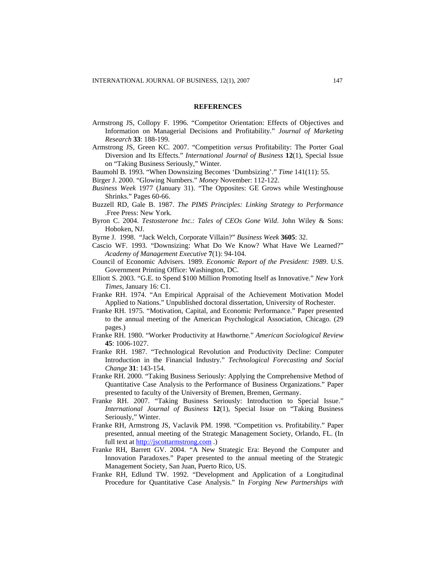#### **REFERENCES**

- Armstrong JS, Collopy F. 1996. "Competitor Orientation: Effects of Objectives and Information on Managerial Decisions and Profitability." *Journal of Marketing Research* **33**: 188-199.
- Armstrong JS, Green KC. 2007. "Competition *versus* Profitability: The Porter Goal Diversion and Its Effects." *International Journal of Business* **12**(1), Special Issue on "Taking Business Seriously," Winter.
- Baumohl B. 1993. "When Downsizing Becomes 'Dumbsizing'." *Time* 141(11): 55.
- Birger J. 2000. "Glowing Numbers." *Money* November: 112-122.
- *Business Week* 1977 (January 31). "The Opposites: GE Grows while Westinghouse Shrinks." Pages 60-66.
- Buzzell RD, Gale B. 1987. *The PIMS Principles: Linking Strategy to Performance* .Free Press: New York.
- Byron C. 2004. *Testosterone Inc.: Tales of CEOs Gone Wild*. John Wiley & Sons: Hoboken, NJ.
- Byrne J. 1998. "Jack Welch, Corporate Villain?" *Business Week* **3605**: 32.
- Cascio WF. 1993. "Downsizing: What Do We Know? What Have We Learned?" *Academy of Management Executive* **7**(1): 94-104.
- Council of Economic Advisers. 1989. *Economic Report of the President: 1989*. U.S. Government Printing Office: Washington, DC.
- Elliott S. 2003. "G.E. to Spend \$100 Million Promoting Itself as Innovative." *New York Times*, January 16: C1.
- Franke RH. 1974. "An Empirical Appraisal of the Achievement Motivation Model Applied to Nations." Unpublished doctoral dissertation, University of Rochester.
- Franke RH. 1975. "Motivation, Capital, and Economic Performance." Paper presented to the annual meeting of the American Psychological Association, Chicago. (29 pages.)
- Franke RH. 1980. "Worker Productivity at Hawthorne." *American Sociological Review* **45**: 1006-1027.
- Franke RH. 1987. "Technological Revolution and Productivity Decline: Computer Introduction in the Financial Industry." *Technological Forecasting and Social Change* **31**: 143-154.
- Franke RH. 2000. "Taking Business Seriously: Applying the Comprehensive Method of Quantitative Case Analysis to the Performance of Business Organizations." Paper presented to faculty of the University of Bremen, Bremen, Germany.
- Franke RH. 2007. "Taking Business Seriously: Introduction to Special Issue." *International Journal of Business* **12**(1), Special Issue on "Taking Business Seriously," Winter.
- Franke RH, Armstrong JS, Vaclavik PM. 1998. "Competition vs. Profitability." Paper presented, annual meeting of the Strategic Management Society, Orlando, FL. (In full text at [http://jscottarmstrong.com](http://jscottarmstrong.com/).)
- Franke RH, Barrett GV. 2004. "A New Strategic Era: Beyond the Computer and Innovation Paradoxes." Paper presented to the annual meeting of the Strategic Management Society, San Juan, Puerto Rico, US.
- Franke RH, Edlund TW. 1992. "Development and Application of a Longitudinal Procedure for Quantitative Case Analysis." In *Forging New Partnerships with*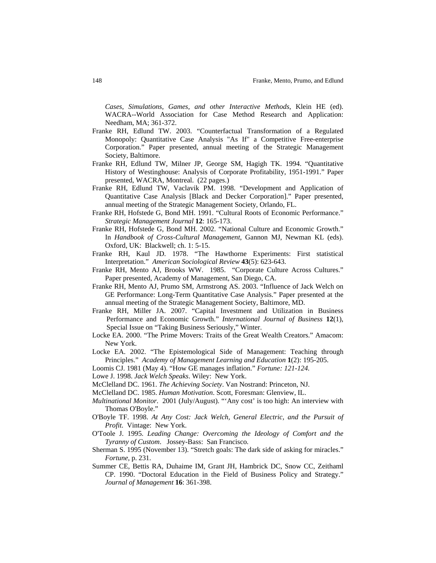*Cases, Simulations, Games, and other Interactive Methods*, Klein HE (ed). WACRA--World Association for Case Method Research and Application: Needham, MA; 361-372.

- Franke RH, Edlund TW. 2003. "Counterfactual Transformation of a Regulated Monopoly: Quantitative Case Analysis "As If" a Competitive Free-enterprise Corporation." Paper presented, annual meeting of the Strategic Management Society, Baltimore.
- Franke RH, Edlund TW, Milner JP, George SM, Hagigh TK. 1994. "Quantitative History of Westinghouse: Analysis of Corporate Profitability, 1951-1991." Paper presented, WACRA, Montreal. (22 pages.)
- Franke RH, Edlund TW, Vaclavik PM. 1998. "Development and Application of Quantitative Case Analysis [Black and Decker Corporation]." Paper presented, annual meeting of the Strategic Management Society, Orlando, FL.
- Franke RH, Hofstede G, Bond MH. 1991. "Cultural Roots of Economic Performance." *Strategic Management Journal* **12**: 165-173.
- Franke RH, Hofstede G, Bond MH. 2002. "National Culture and Economic Growth." In *Handbook of Cross-Cultural Management*, Gannon MJ, Newman KL (eds). Oxford, UK: Blackwell; ch. 1: 5-15.
- Franke RH, Kaul JD. 1978. "The Hawthorne Experiments: First statistical Interpretation." *American Sociological Review* **43**(5): 623-643.
- Franke RH, Mento AJ, Brooks WW. 1985. "Corporate Culture Across Cultures." Paper presented, Academy of Management, San Diego, CA.
- Franke RH, Mento AJ, Prumo SM, Armstrong AS. 2003. "Influence of Jack Welch on GE Performance: Long-Term Quantitative Case Analysis." Paper presented at the annual meeting of the Strategic Management Society, Baltimore, MD.
- Franke RH, Miller JA. 2007. "Capital Investment and Utilization in Business Performance and Economic Growth." *International Journal of Business* **12**(1), Special Issue on "Taking Business Seriously," Winter.
- Locke EA. 2000. "The Prime Movers: Traits of the Great Wealth Creators." Amacom: New York.
- Locke EA. 2002. "The Epistemological Side of Management: Teaching through Principles." *Academy of Management Learning and Education* **1**(2): 195-205.
- Loomis CJ. 1981 (May 4). "How GE manages inflation." *Fortune: 121-124.*

Lowe J. 1998. *Jack Welch Speaks*. Wiley: New York.

- McClelland DC. 1961. *The Achieving Society*. Van Nostrand: Princeton, NJ.
- McClelland DC. 1985. *Human Motivation*. Scott, Foresman: Glenview, IL.
- *Multinational Monitor*. 2001 (July/August). "'Any cost' is too high: An interview with Thomas O'Boyle."
- O'Boyle TF. 1998. *At Any Cost: Jack Welch, General Electric, and the Pursuit of Profit*. Vintage: New York.
- O'Toole J. 1995. *Leading Change: Overcoming the Ideology of Comfort and the Tyranny of Custom*. Jossey-Bass: San Francisco.
- Sherman S. 1995 (November 13). "Stretch goals: The dark side of asking for miracles." *Fortune*, p. 231.
- Summer CE, Bettis RA, Duhaime IM, Grant JH, Hambrick DC, Snow CC, Zeithaml CP. 1990. "Doctoral Education in the Field of Business Policy and Strategy." *Journal of Management* **16**: 361-398.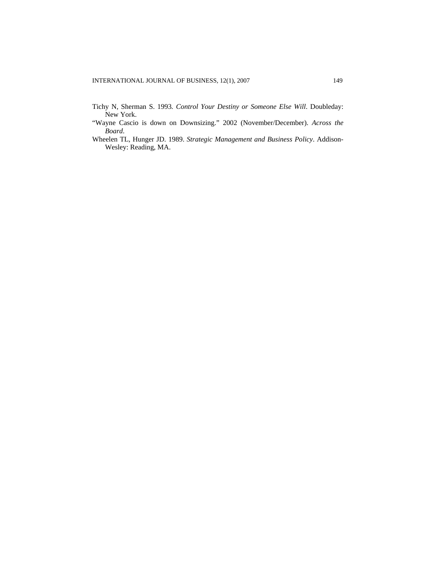- Tichy N, Sherman S. 1993*. Control Your Destiny or Someone Else Will*. Doubleday: New York.
- "Wayne Cascio is down on Downsizing." 2002 (November/December). *Across the Board*.
- Wheelen TL, Hunger JD. 1989. *Strategic Management and Business Policy*. Addison-Wesley: Reading, MA.